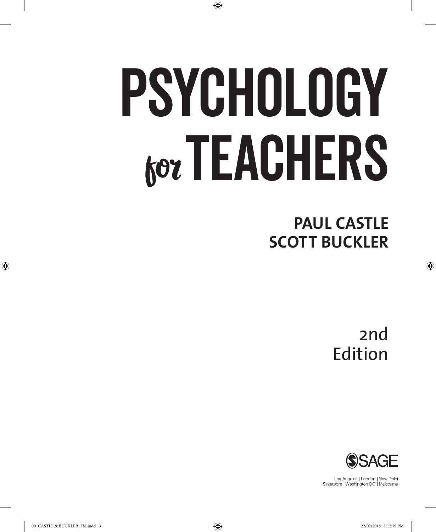# Psychology **for TEACHERS**

⊕

**PAUL CASTLE SCOTT BUCKLER**

> 2nd Edition

⊕



Los Angeles | London | New Delhi Singapore | Washington DC | Melbourne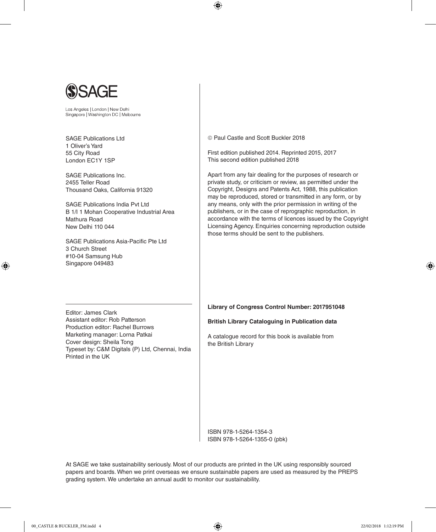

Los Angeles | London | New Delhi Singapore | Washington DC | Melbourne

SAGE Publications Ltd 1 Oliver's Yard 55 City Road London EC1Y 1SP

SAGE Publications Inc. 2455 Teller Road Thousand Oaks, California 91320

SAGE Publications India Pvt Ltd B 1/I 1 Mohan Cooperative Industrial Area Mathura Road New Delhi 110 044

SAGE Publications Asia-Pacific Pte Ltd 3 Church Street #10-04 Samsung Hub Singapore 049483

Paul Castle and Scott Buckler 2018

⊕

First edition published 2014. Reprinted 2015, 2017 This second edition published 2018

Apart from any fair dealing for the purposes of research or private study, or criticism or review, as permitted under the Copyright, Designs and Patents Act, 1988, this publication may be reproduced, stored or transmitted in any form, or by any means, only with the prior permission in writing of the publishers, or in the case of reprographic reproduction, in accordance with the terms of licences issued by the Copyright Licensing Agency. Enquiries concerning reproduction outside those terms should be sent to the publishers.

Editor: James Clark Assistant editor: Rob Patterson Production editor: Rachel Burrows Marketing manager: Lorna Patkai Cover design: Sheila Tong Typeset by: C&M Digitals (P) Ltd, Chennai, India Printed in the UK

**Library of Congress Control Number: 2017951048**

#### **British Library Cataloguing in Publication data**

A catalogue record for this book is available from the British Library

ISBN 978-1-5264-1354-3 ISBN 978-1-5264-1355-0 (pbk)

At SAGE we take sustainability seriously. Most of our products are printed in the UK using responsibly sourced papers and boards. When we print overseas we ensure sustainable papers are used as measured by the PREPS grading system. We undertake an annual audit to monitor our sustainability.

♠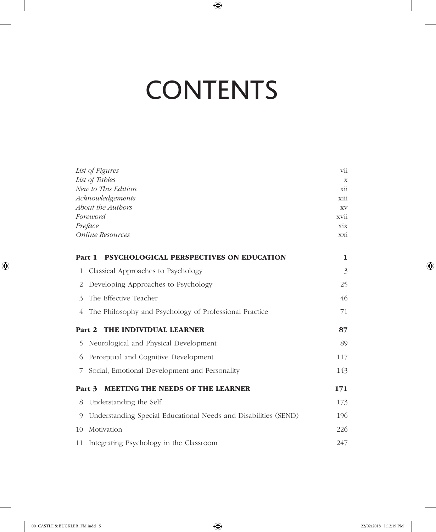# **CONTENTS**

 $\bigoplus$ 

|               | List of Figures<br>List of Tables<br>New to This Edition<br>Acknowledgements<br>About the Authors<br>Foreword<br>Preface<br><b>Online Resources</b> | vii<br>X<br>xii<br>xiii<br>XV<br>xvii<br>xix<br>xxi |
|---------------|-----------------------------------------------------------------------------------------------------------------------------------------------------|-----------------------------------------------------|
|               | <b>PSYCHOLOGICAL PERSPECTIVES ON EDUCATION</b><br>Part 1                                                                                            | 1                                                   |
| 1             | Classical Approaches to Psychology                                                                                                                  | 3                                                   |
| 2             | Developing Approaches to Psychology                                                                                                                 | 25                                                  |
| $\mathcal{E}$ | The Effective Teacher                                                                                                                               | 46                                                  |
| 4             | The Philosophy and Psychology of Professional Practice                                                                                              | 71                                                  |
|               | THE INDIVIDUAL LEARNER<br>Part 2                                                                                                                    | 87                                                  |
| 5             | Neurological and Physical Development                                                                                                               | 89                                                  |
| 6             | Perceptual and Cognitive Development                                                                                                                | 117                                                 |
| 7             | Social, Emotional Development and Personality                                                                                                       | 143                                                 |
|               | <b>MEETING THE NEEDS OF THE LEARNER</b><br>Part 3                                                                                                   | 171                                                 |
| 8             | Understanding the Self                                                                                                                              | 173                                                 |
| 9             | Understanding Special Educational Needs and Disabilities (SEND)                                                                                     | 196                                                 |
| 10            | Motivation                                                                                                                                          | 226                                                 |
| 11            | Integrating Psychology in the Classroom                                                                                                             | 247                                                 |

 $\bigoplus$ 

 $\bigoplus$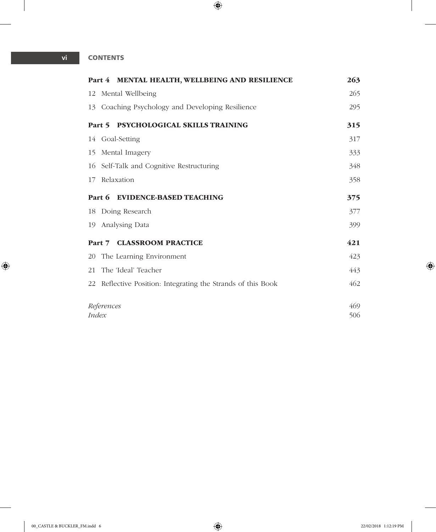#### **vi CONTENTS**

|              | Part 4 MENTAL HEALTH, WELLBEING AND RESILIENCE               | 263 |
|--------------|--------------------------------------------------------------|-----|
|              | 12 Mental Wellbeing                                          | 265 |
|              | 13 Coaching Psychology and Developing Resilience             | 295 |
|              | Part 5 PSYCHOLOGICAL SKILLS TRAINING                         | 315 |
|              | 14 Goal-Setting                                              | 317 |
|              | 15 Mental Imagery                                            | 333 |
|              | 16 Self-Talk and Cognitive Restructuring                     | 348 |
| 17           | Relaxation                                                   | 358 |
|              | Part 6 EVIDENCE-BASED TEACHING                               | 375 |
|              | 18 Doing Research                                            | 377 |
|              | 19 Analysing Data                                            | 399 |
|              | Part 7 CLASSROOM PRACTICE                                    | 421 |
|              | 20 The Learning Environment                                  | 423 |
|              | 21 The 'Ideal' Teacher                                       | 443 |
|              | 22 Reflective Position: Integrating the Strands of this Book | 462 |
|              | References                                                   | 469 |
| <i>Index</i> | 506                                                          |     |

 $\bigoplus$ 

 $\overline{\phantom{a}}$ 

 $\bigoplus$ 

 $\overline{\phantom{a}}$ 

 $\overline{\phantom{a}}$ 

 $\bigoplus$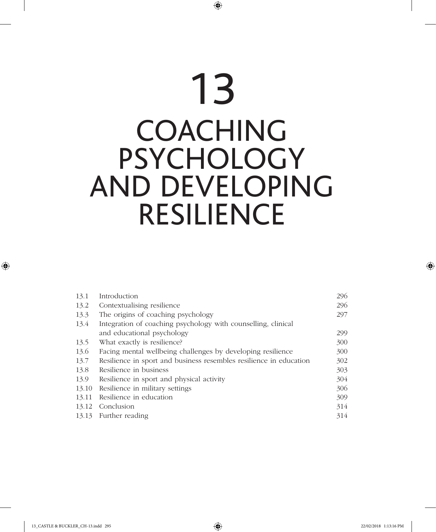# 13 COACHING PSYCHOLOGY AND DEVELOPING RESILIENCE

⊕

| 13.1  | Introduction                                                       | 296 |
|-------|--------------------------------------------------------------------|-----|
| 13.2  | Contextualising resilience                                         | 296 |
| 13.3  | The origins of coaching psychology                                 | 297 |
| 13.4  | Integration of coaching psychology with counselling, clinical      |     |
|       | and educational psychology                                         | 299 |
| 13.5  | What exactly is resilience?                                        | 300 |
| 13.6  | Facing mental wellbeing challenges by developing resilience        | 300 |
| 13.7  | Resilience in sport and business resembles resilience in education | 302 |
| 13.8  | Resilience in business                                             | 303 |
| 13.9  | Resilience in sport and physical activity                          | 304 |
| 13.10 | Resilience in military settings                                    | 306 |
| 13.11 | Resilience in education                                            | 309 |
| 13.12 | Conclusion                                                         | 314 |
| 13.13 | Further reading                                                    | 314 |
|       |                                                                    |     |

 $\bigoplus$ 

 $\bigoplus$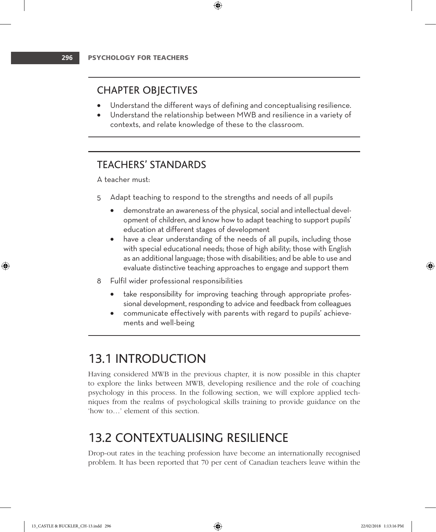## CHAPTER OBJECTIVES

Understand the different ways of defining and conceptualising resilience.

⊕

• Understand the relationship between MWB and resilience in a variety of contexts, and relate knowledge of these to the classroom.

## TEACHERS' STANDARDS

A teacher must:

- 5 Adapt teaching to respond to the strengths and needs of all pupils
	- demonstrate an awareness of the physical, social and intellectual development of children, and know how to adapt teaching to support pupils' education at different stages of development
	- have a clear understanding of the needs of all pupils, including those with special educational needs; those of high ability; those with English as an additional language; those with disabilities; and be able to use and evaluate distinctive teaching approaches to engage and support them
- 8 Fulfil wider professional responsibilities
	- take responsibility for improving teaching through appropriate professional development, responding to advice and feedback from colleagues
	- communicate effectively with parents with regard to pupils' achievements and well-being

# 13.1 INTRODUCTION

Having considered MWB in the previous chapter, it is now possible in this chapter to explore the links between MWB, developing resilience and the role of coaching psychology in this process. In the following section, we will explore applied techniques from the realms of psychological skills training to provide guidance on the 'how to…' element of this section.

# 13.2 CONTEXTUALISING RESILIENCE

Drop-out rates in the teaching profession have become an internationally recognised problem. It has been reported that 70 per cent of Canadian teachers leave within the

♠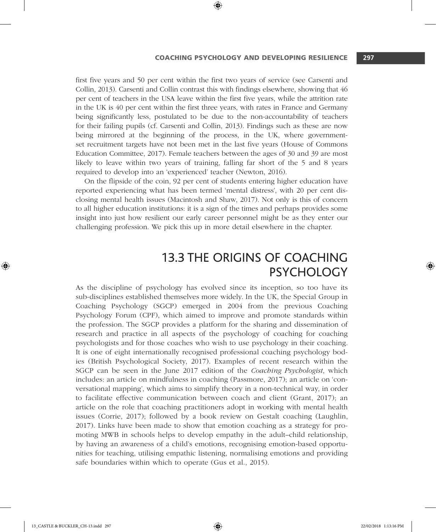#### COACHING PSYCHOLOGY and DEVELOPING RESILIENCE **297**

first five years and 50 per cent within the first two years of service (see Carsenti and Collin, 2013). Carsenti and Collin contrast this with findings elsewhere, showing that 46 per cent of teachers in the USA leave within the first five years, while the attrition rate in the UK is 40 per cent within the first three years, with rates in France and Germany being significantly less, postulated to be due to the non-accountability of teachers for their failing pupils (cf. Carsenti and Collin, 2013). Findings such as these are now being mirrored at the beginning of the process, in the UK, where governmentset recruitment targets have not been met in the last five years (House of Commons Education Committee, 2017). Female teachers between the ages of 30 and 39 are most likely to leave within two years of training, falling far short of the 5 and 8 years required to develop into an 'experienced' teacher (Newton, 2016).

⊕

On the flipside of the coin, 92 per cent of students entering higher education have reported experiencing what has been termed 'mental distress', with 20 per cent disclosing mental health issues (Macintosh and Shaw, 2017). Not only is this of concern to all higher education institutions: it is a sign of the times and perhaps provides some insight into just how resilient our early career personnel might be as they enter our challenging profession. We pick this up in more detail elsewhere in the chapter.

# 13.3 THE ORIGINS OF COACHING PSYCHOLOGY

As the discipline of psychology has evolved since its inception, so too have its sub-disciplines established themselves more widely. In the UK, the Special Group in Coaching Psychology (SGCP) emerged in 2004 from the previous Coaching Psychology Forum (CPF), which aimed to improve and promote standards within the profession. The SGCP provides a platform for the sharing and dissemination of research and practice in all aspects of the psychology of coaching for coaching psychologists and for those coaches who wish to use psychology in their coaching. It is one of eight internationally recognised professional coaching psychology bodies (British Psychological Society, 2017). Examples of recent research within the SGCP can be seen in the June 2017 edition of the *Coaching Psychologist*, which includes: an article on mindfulness in coaching (Passmore, 2017); an article on 'conversational mapping', which aims to simplify theory in a non-technical way, in order to facilitate effective communication between coach and client (Grant, 2017); an article on the role that coaching practitioners adopt in working with mental health issues (Corrie, 2017); followed by a book review on Gestalt coaching (Laughlin, 2017). Links have been made to show that emotion coaching as a strategy for promoting MWB in schools helps to develop empathy in the adult–child relationship, by having an awareness of a child's emotions, recognising emotion-based opportunities for teaching, utilising empathic listening, normalising emotions and providing safe boundaries within which to operate (Gus et al., 2015).

♠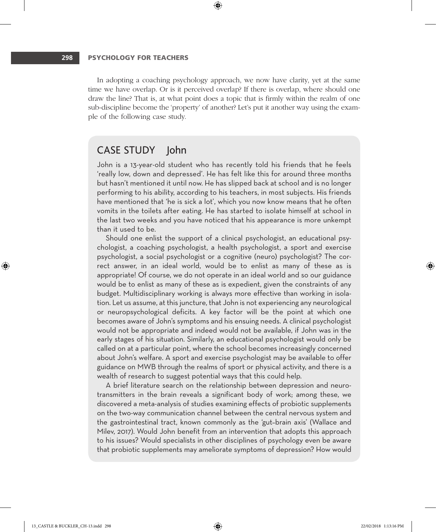In adopting a coaching psychology approach, we now have clarity, yet at the same time we have overlap. Or is it perceived overlap? If there is overlap, where should one draw the line? That is, at what point does a topic that is firmly within the realm of one sub-discipline become the 'property' of another? Let's put it another way using the example of the following case study.

⊕

### CASE STUDY John

John is a 13-year-old student who has recently told his friends that he feels 'really low, down and depressed'. He has felt like this for around three months but hasn't mentioned it until now. He has slipped back at school and is no longer performing to his ability, according to his teachers, in most subjects. His friends have mentioned that 'he is sick a lot', which you now know means that he often vomits in the toilets after eating. He has started to isolate himself at school in the last two weeks and you have noticed that his appearance is more unkempt than it used to be.

Should one enlist the support of a clinical psychologist, an educational psychologist, a coaching psychologist, a health psychologist, a sport and exercise psychologist, a social psychologist or a cognitive (neuro) psychologist? The correct answer, in an ideal world, would be to enlist as many of these as is appropriate! Of course, we do not operate in an ideal world and so our guidance would be to enlist as many of these as is expedient, given the constraints of any budget. Multidisciplinary working is always more effective than working in isolation. Let us assume, at this juncture, that John is not experiencing any neurological or neuropsychological deficits. A key factor will be the point at which one becomes aware of John's symptoms and his ensuing needs. A clinical psychologist would not be appropriate and indeed would not be available, if John was in the early stages of his situation. Similarly, an educational psychologist would only be called on at a particular point, where the school becomes increasingly concerned about John's welfare. A sport and exercise psychologist may be available to offer guidance on MWB through the realms of sport or physical activity, and there is a wealth of research to suggest potential ways that this could help.

A brief literature search on the relationship between depression and neurotransmitters in the brain reveals a significant body of work; among these, we discovered a meta-analysis of studies examining effects of probiotic supplements on the two-way communication channel between the central nervous system and the gastrointestinal tract, known commonly as the 'gut–brain axis' (Wallace and Milev, 2017). Would John benefit from an intervention that adopts this approach to his issues? Would specialists in other disciplines of psychology even be aware that probiotic supplements may ameliorate symptoms of depression? How would ⊕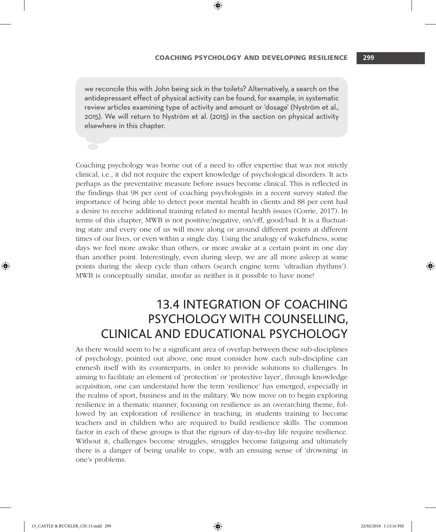#### COACHING PSYCHOLOGY and DEVELOPING RESILIENCE **299**

we reconcile this with John being sick in the toilets? Alternatively, a search on the antidepressant effect of physical activity can be found, for example, in systematic review articles examining type of activity and amount or 'dosage' (Nyström et al., 2015). We will return to Nyström et al. (2015) in the section on physical activity elsewhere in this chapter.

⊕

Coaching psychology was borne out of a need to offer expertise that was not strictly clinical, i.e., it did not require the expert knowledge of psychological disorders. It acts perhaps as the preventative measure before issues become clinical. This is reflected in the findings that 98 per cent of coaching psychologists in a recent survey stated the importance of being able to detect poor mental health in clients and 88 per cent had a desire to receive additional training related to mental health issues (Corrie, 2017). In terms of this chapter, MWB is not positive/negative, on/off, good/bad. It is a fluctuating state and every one of us will move along or around different points at different times of our lives, or even within a single day. Using the analogy of wakefulness, some days we feel more awake than others, or more awake at a certain point in one day than another point. Interestingly, even during sleep, we are all more asleep at some points during the sleep cycle than others (search engine term: 'ultradian rhythms'). MWB is conceptually similar, insofar as neither is it possible to have none!

# 13.4 INTEGRATION OF COACHING PSYCHOLOGY WITH COUNSELLING, CLINICAL AND EDUCATIONAL PSYCHOLOGY

As there would seem to be a significant area of overlap between these sub-disciplines of psychology, pointed out above, one must consider how each sub-discipline can enmesh itself with its counterparts, in order to provide solutions to challenges. In aiming to facilitate an element of 'protection' or 'protective layer', through knowledge acquisition, one can understand how the term 'resilience' has emerged, especially in the realms of sport, business and in the military. We now move on to begin exploring resilience in a thematic manner, focusing on resilience as an overarching theme, followed by an exploration of resilience in teaching, in students training to become teachers and in children who are required to build resilience skills. The common factor in each of these groups is that the rigours of day-to-day life require resilience. Without it, challenges become struggles, struggles become fatiguing and ultimately there is a danger of being unable to cope, with an ensuing sense of 'drowning' in one's problems.

♠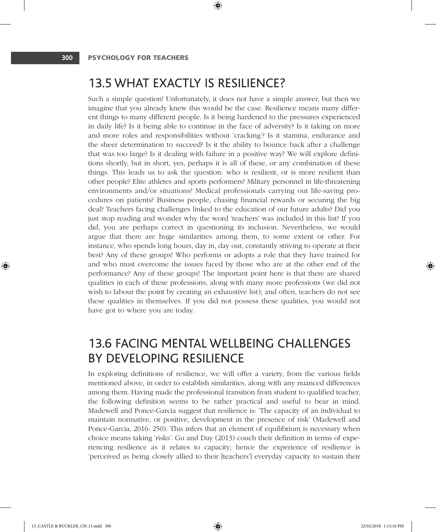# 13.5 WHAT EXACTLY IS RESILIENCE?

⊕

Such a simple question! Unfortunately, it does not have a simple answer, but then we imagine that you already knew this would be the case. Resilience means many different things to many different people. Is it being hardened to the pressures experienced in daily life? Is it being able to continue in the face of adversity? Is it taking on more and more roles and responsibilities without 'cracking'? Is it stamina, endurance and the sheer determination to succeed? Is it the ability to bounce back after a challenge that was too large? Is it dealing with failure in a positive way? We will explore definitions shortly, but in short, yes, perhaps it is all of these, or any combination of these things. This leads us to ask the question: who is resilient, or is more resilient than other people? Elite athletes and sports performers? Military personnel in life-threatening environments and/or situations? Medical professionals carrying out life-saving procedures on patients? Business people, chasing financial rewards or securing the big deal? Teachers facing challenges linked to the education of our future adults? Did you just stop reading and wonder why the word 'teachers' was included in this list? If you did, you are perhaps correct in questioning its inclusion. Nevertheless, we would argue that there are huge similarities among them, to some extent or other. For instance, who spends long hours, day in, day out, constantly striving to operate at their best? Any of these groups! Who performs or adopts a role that they have trained for and who must overcome the issues faced by those who are at the other end of the performance? Any of these groups! The important point here is that there are shared qualities in each of these professions, along with many more professions (we did not wish to labour the point by creating an exhaustive list); and often, teachers do not see these qualities in themselves. If you did not possess these qualities, you would not have got to where you are today.

# 13.6 FACING MENTAL WELLBEING CHALLENGES BY DEVELOPING RESILIENCE

In exploring definitions of resilience, we will offer a variety, from the various fields mentioned above, in order to establish similarities, along with any nuanced differences among them. Having made the professional transition from student to qualified teacher, the following definition seems to be rather practical and useful to bear in mind. Madewell and Ponce-Garcia suggest that resilience is: 'The capacity of an individual to maintain normative, or positive, development in the presence of risk' (Madewell and Ponce-Garcia, 2016: 250). This infers that an element of equilibrium is necessary when choice means taking 'risks'. Gu and Day (2013) couch their definition in terms of experiencing resilience as it relates to capacity; hence the experience of resilience is 'perceived as being closely allied to their [teachers'] everyday capacity to sustain their ⊕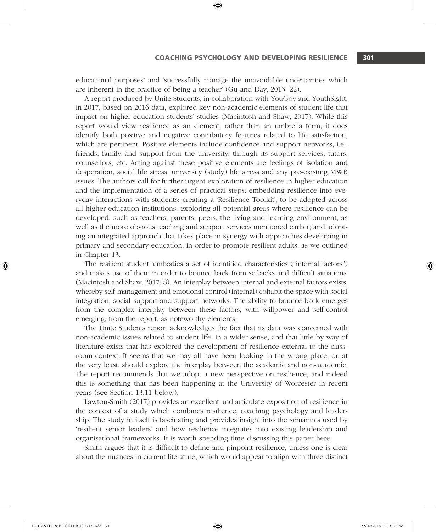educational purposes' and 'successfully manage the unavoidable uncertainties which are inherent in the practice of being a teacher' (Gu and Day, 2013: 22).

⊕

A report produced by Unite Students, in collaboration with YouGov and YouthSight, in 2017, based on 2016 data, explored key non-academic elements of student life that impact on higher education students' studies (Macintosh and Shaw, 2017). While this report would view resilience as an element, rather than an umbrella term, it does identify both positive and negative contributory features related to life satisfaction, which are pertinent. Positive elements include confidence and support networks, i.e., friends, family and support from the university, through its support services, tutors, counsellors, etc. Acting against these positive elements are feelings of isolation and desperation, social life stress, university (study) life stress and any pre-existing MWB issues. The authors call for further urgent exploration of resilience in higher education and the implementation of a series of practical steps: embedding resilience into everyday interactions with students; creating a 'Resilience Toolkit', to be adopted across all higher education institutions; exploring all potential areas where resilience can be developed, such as teachers, parents, peers, the living and learning environment, as well as the more obvious teaching and support services mentioned earlier; and adopting an integrated approach that takes place in synergy with approaches developing in primary and secondary education, in order to promote resilient adults, as we outlined in Chapter 13.

The resilient student 'embodies a set of identified characteristics ("internal factors") and makes use of them in order to bounce back from setbacks and difficult situations' (Macintosh and Shaw, 2017: 8). An interplay between internal and external factors exists, whereby self-management and emotional control (internal) cohabit the space with social integration, social support and support networks. The ability to bounce back emerges from the complex interplay between these factors, with willpower and self-control emerging, from the report, as noteworthy elements.

The Unite Students report acknowledges the fact that its data was concerned with non-academic issues related to student life, in a wider sense, and that little by way of literature exists that has explored the development of resilience external to the classroom context. It seems that we may all have been looking in the wrong place, or, at the very least, should explore the interplay between the academic and non-academic. The report recommends that we adopt a new perspective on resilience, and indeed this is something that has been happening at the University of Worcester in recent years (see Section 13.11 below).

Lawton-Smith (2017) provides an excellent and articulate exposition of resilience in the context of a study which combines resilience, coaching psychology and leadership. The study in itself is fascinating and provides insight into the semantics used by 'resilient senior leaders' and how resilience integrates into existing leadership and organisational frameworks. It is worth spending time discussing this paper here.

Smith argues that it is difficult to define and pinpoint resilience, unless one is clear about the nuances in current literature, which would appear to align with three distinct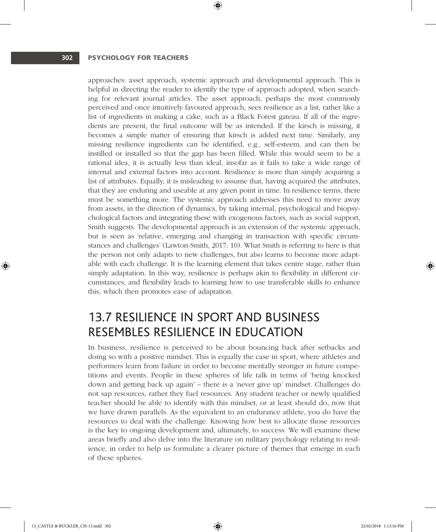approaches: asset approach, systemic approach and developmental approach. This is helpful in directing the reader to identify the type of approach adopted, when searching for relevant journal articles. The asset approach, perhaps the most commonly perceived and once intuitively favoured approach, sees resilience as a list, rather like a list of ingredients in making a cake, such as a Black Forest gateau. If all of the ingredients are present, the final outcome will be as intended. If the kirsch is missing, it becomes a simple matter of ensuring that kirsch is added next time. Similarly, any missing resilience ingredients can be identified, e.g., self-esteem, and can then be instilled or installed so that the gap has been filled. While this would seem to be a rational idea, it is actually less than ideal, insofar as it fails to take a wide range of internal and external factors into account. Resilience is more than simply acquiring a list of attributes. Equally, it is misleading to assume that, having acquired the attributes, that they are enduring and useable at any given point in time. In resilience terms, there must be something more. The systemic approach addresses this need to move away from assets, in the direction of dynamics, by taking internal, psychological and biopsychological factors and integrating these with exogenous factors, such as social support, Smith suggests. The developmental approach is an extension of the systemic approach, but is seen as 'relative, emerging and changing in transaction with specific circumstances and challenges' (Lawton-Smith, 2017: 10). What Smith is referring to here is that the person not only adapts to new challenges, but also learns to become more adaptable with each challenge. It is the learning element that takes centre stage, rather than simply adaptation. In this way, resilience is perhaps akin to flexibility in different circumstances, and flexibility leads to learning how to use transferable skills to enhance this, which then promotes ease of adaptation.

⊕

# 13.7 RESILIENCE IN SPORT AND BUSINESS RESEMBLES RESILIENCE IN EDUCATION

In business, resilience is perceived to be about bouncing back after setbacks and doing so with a positive mindset. This is equally the case in sport, where athletes and performers learn from failure in order to become mentally stronger in future competitions and events. People in these spheres of life talk in terms of 'being knocked down and getting back up again' – there is a 'never give up' mindset. Challenges do not sap resources, rather they fuel resources. Any student teacher or newly qualified teacher should be able to identify with this mindset, or at least should do, now that we have drawn parallels. As the equivalent to an endurance athlete, you do have the resources to deal with the challenge. Knowing how best to allocate those resources is the key to ongoing development and, ultimately, to success. We will examine these areas briefly and also delve into the literature on military psychology relating to resilience, in order to help us formulate a clearer picture of themes that emerge in each of these spheres.

♠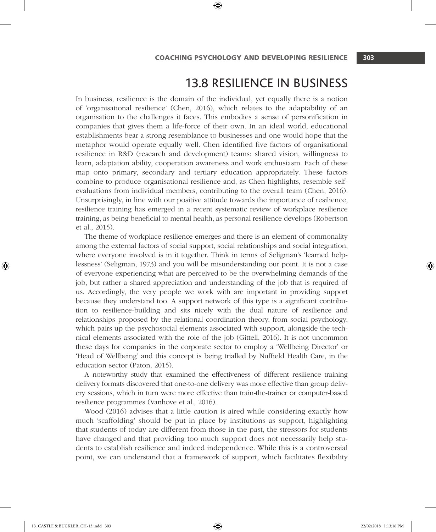# 13.8 RESILIENCE IN BUSINESS

In business, resilience is the domain of the individual, yet equally there is a notion of 'organisational resilience' (Chen, 2016), which relates to the adaptability of an organisation to the challenges it faces. This embodies a sense of personification in companies that gives them a life-force of their own. In an ideal world, educational establishments bear a strong resemblance to businesses and one would hope that the metaphor would operate equally well. Chen identified five factors of organisational resilience in R&D (research and development) teams: shared vision, willingness to learn, adaptation ability, cooperation awareness and work enthusiasm. Each of these map onto primary, secondary and tertiary education appropriately. These factors combine to produce organisational resilience and, as Chen highlights, resemble selfevaluations from individual members, contributing to the overall team (Chen, 2016). Unsurprisingly, in line with our positive attitude towards the importance of resilience, resilience training has emerged in a recent systematic review of workplace resilience training, as being beneficial to mental health, as personal resilience develops (Robertson et al., 2015).

⊕

The theme of workplace resilience emerges and there is an element of commonality among the external factors of social support, social relationships and social integration, where everyone involved is in it together. Think in terms of Seligman's 'learned helplessness' (Seligman, 1973) and you will be misunderstanding our point. It is not a case of everyone experiencing what are perceived to be the overwhelming demands of the job, but rather a shared appreciation and understanding of the job that is required of us. Accordingly, the very people we work with are important in providing support because they understand too. A support network of this type is a significant contribution to resilience-building and sits nicely with the dual nature of resilience and relationships proposed by the relational coordination theory, from social psychology, which pairs up the psychosocial elements associated with support, alongside the technical elements associated with the role of the job (Gittell, 2016). It is not uncommon these days for companies in the corporate sector to employ a 'Wellbeing Director' or 'Head of Wellbeing' and this concept is being trialled by Nuffield Health Care, in the education sector (Paton, 2015).

A noteworthy study that examined the effectiveness of different resilience training delivery formats discovered that one-to-one delivery was more effective than group delivery sessions, which in turn were more effective than train-the-trainer or computer-based resilience programmes (Vanhove et al., 2016).

Wood (2016) advises that a little caution is aired while considering exactly how much 'scaffolding' should be put in place by institutions as support, highlighting that students of today are different from those in the past, the stressors for students have changed and that providing too much support does not necessarily help students to establish resilience and indeed independence. While this is a controversial point, we can understand that a framework of support, which facilitates flexibility

♠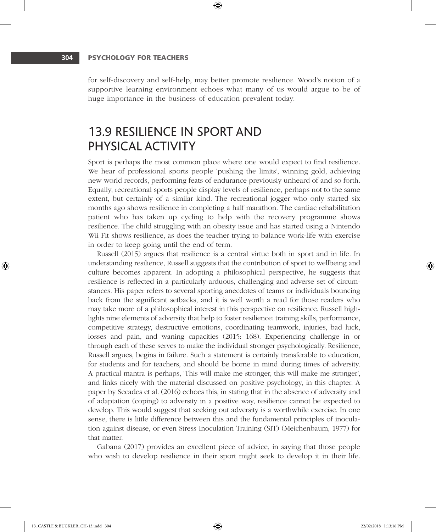for self-discovery and self-help, may better promote resilience. Wood's notion of a supportive learning environment echoes what many of us would argue to be of huge importance in the business of education prevalent today.

⊕

# 13.9 RESILIENCE IN SPORT AND PHYSICAL ACTIVITY

Sport is perhaps the most common place where one would expect to find resilience. We hear of professional sports people 'pushing the limits', winning gold, achieving new world records, performing feats of endurance previously unheard of and so forth. Equally, recreational sports people display levels of resilience, perhaps not to the same extent, but certainly of a similar kind. The recreational jogger who only started six months ago shows resilience in completing a half marathon. The cardiac rehabilitation patient who has taken up cycling to help with the recovery programme shows resilience. The child struggling with an obesity issue and has started using a Nintendo Wii Fit shows resilience, as does the teacher trying to balance work-life with exercise in order to keep going until the end of term.

Russell (2015) argues that resilience is a central virtue both in sport and in life. In understanding resilience, Russell suggests that the contribution of sport to wellbeing and culture becomes apparent. In adopting a philosophical perspective, he suggests that resilience is reflected in a particularly arduous, challenging and adverse set of circumstances. His paper refers to several sporting anecdotes of teams or individuals bouncing back from the significant setbacks, and it is well worth a read for those readers who may take more of a philosophical interest in this perspective on resilience. Russell highlights nine elements of adversity that help to foster resilience: training skills, performance, competitive strategy, destructive emotions, coordinating teamwork, injuries, bad luck, losses and pain, and waning capacities (2015: 168). Experiencing challenge in or through each of these serves to make the individual stronger psychologically. Resilience, Russell argues, begins in failure. Such a statement is certainly transferable to education, for students and for teachers, and should be borne in mind during times of adversity. A practical mantra is perhaps, 'This will make me stronger, this will make me stronger', and links nicely with the material discussed on positive psychology, in this chapter. A paper by Secades et al. (2016) echoes this, in stating that in the absence of adversity and of adaptation (coping) to adversity in a positive way, resilience cannot be expected to develop. This would suggest that seeking out adversity is a worthwhile exercise. In one sense, there is little difference between this and the fundamental principles of inoculation against disease, or even Stress Inoculation Training (SIT) (Meichenbaum, 1977) for that matter.

Gabana (2017) provides an excellent piece of advice, in saying that those people who wish to develop resilience in their sport might seek to develop it in their life. ⊕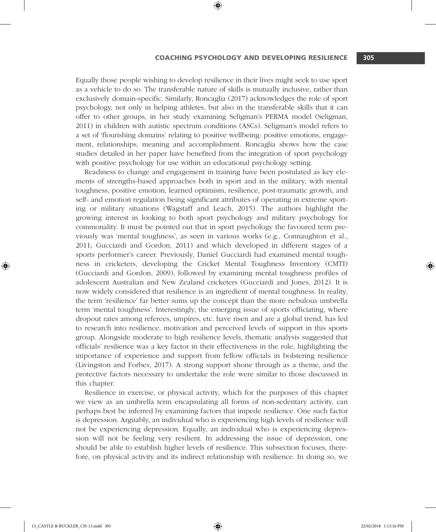#### COACHING PSYCHOLOGY and DEVELOPING RESILIENCE **305**

Equally those people wishing to develop resilience in their lives might seek to use sport as a vehicle to do so. The transferable nature of skills is mutually inclusive, rather than exclusively domain-specific. Similarly, Roncaglia (2017) acknowledges the role of sport psychology, not only in helping athletes, but also in the transferable skills that it can offer to other groups, in her study examining Seligman's PERMA model (Seligman, 2011) in children with autistic spectrum conditions (ASCs). Seligman's model refers to a set of 'flourishing domains' relating to positive wellbeing: positive emotions, engagement, relationships, meaning and accomplishment. Roncaglia shows how the case studies detailed in her paper have benefited from the integration of sport psychology with positive psychology for use within an educational psychology setting.

⊕

Readiness to change and engagement in training have been postulated as key elements of strengths-based approaches both in sport and in the military, with mental toughness, positive emotion, learned optimism, resilience, post-traumatic growth, and self- and emotion regulation being significant attributes of operating in extreme sporting or military situations (Wagstaff and Leach, 2015). The authors highlight the growing interest in looking to both sport psychology and military psychology for commonality. It must be pointed out that in sport psychology the favoured term previously was 'mental toughness', as seen in various works (e.g., Connaughton et al., 2011; Gucciardi and Gordon, 2011) and which developed in different stages of a sports performer's career. Previously, Daniel Gucciardi had examined mental toughness in cricketers, developing the Cricket Mental Toughness Inventory (CMTI) (Gucciardi and Gordon, 2009), followed by examining mental toughness profiles of adolescent Australian and New Zealand cricketers (Gucciardi and Jones, 2012). It is now widely considered that resilience is an ingredient of mental toughness. In reality, the term 'resilience' far better sums up the concept than the more nebulous umbrella term 'mental toughness'. Interestingly, the emerging issue of sports officiating, where dropout rates among referees, umpires, etc. have risen and are a global trend, has led to research into resilience, motivation and perceived levels of support in this sports group. Alongside moderate to high resilience levels, thematic analysis suggested that officials' resilience was a key factor in their effectiveness in the role, highlighting the importance of experience and support from fellow officials in bolstering resilience (Livingston and Forbes, 2017). A strong support shone through as a theme, and the protective factors necessary to undertake the role were similar to those discussed in this chapter.

Resilience in exercise, or physical activity, which for the purposes of this chapter we view as an umbrella term encapsulating all forms of non-sedentary activity, can perhaps best be inferred by examining factors that impede resilience. One such factor is depression. Arguably, an individual who is experiencing high levels of resilience will not be experiencing depression. Equally, an individual who is experiencing depression will not be feeling very resilient. In addressing the issue of depression, one should be able to establish higher levels of resilience. This subsection focuses, therefore, on physical activity and its indirect relationship with resilience. In doing so, we

13\_CASTLE & BUCKLER\_CH-13.indd 305 22/02/2018 1:13:16 PM

⊕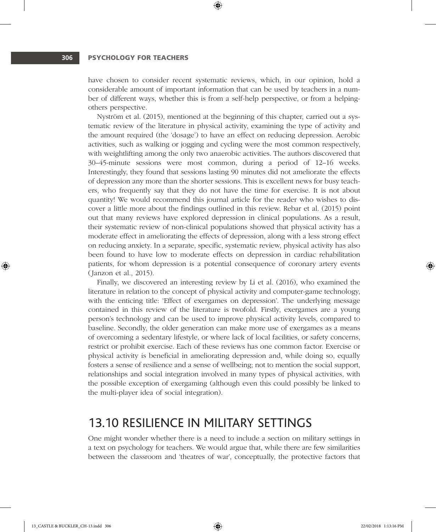have chosen to consider recent systematic reviews, which, in our opinion, hold a considerable amount of important information that can be used by teachers in a number of different ways, whether this is from a self-help perspective, or from a helpingothers perspective.

⊕

Nyström et al. (2015), mentioned at the beginning of this chapter, carried out a systematic review of the literature in physical activity, examining the type of activity and the amount required (the 'dosage') to have an effect on reducing depression. Aerobic activities, such as walking or jogging and cycling were the most common respectively, with weightlifting among the only two anaerobic activities. The authors discovered that 30–45-minute sessions were most common, during a period of 12–16 weeks. Interestingly, they found that sessions lasting 90 minutes did not ameliorate the effects of depression any more than the shorter sessions. This is excellent news for busy teachers, who frequently say that they do not have the time for exercise. It is not about quantity! We would recommend this journal article for the reader who wishes to discover a little more about the findings outlined in this review. Rebar et al. (2015) point out that many reviews have explored depression in clinical populations. As a result, their systematic review of non-clinical populations showed that physical activity has a moderate effect in ameliorating the effects of depression, along with a less strong effect on reducing anxiety. In a separate, specific, systematic review, physical activity has also been found to have low to moderate effects on depression in cardiac rehabilitation patients, for whom depression is a potential consequence of coronary artery events (Janzon et al., 2015).

Finally, we discovered an interesting review by Li et al. (2016), who examined the literature in relation to the concept of physical activity and computer-game technology, with the enticing title: 'Effect of exergames on depression'. The underlying message contained in this review of the literature is twofold. Firstly, exergames are a young person's technology and can be used to improve physical activity levels, compared to baseline. Secondly, the older generation can make more use of exergames as a means of overcoming a sedentary lifestyle, or where lack of local facilities, or safety concerns, restrict or prohibit exercise. Each of these reviews has one common factor. Exercise or physical activity is beneficial in ameliorating depression and, while doing so, equally fosters a sense of resilience and a sense of wellbeing; not to mention the social support, relationships and social integration involved in many types of physical activities, with the possible exception of exergaming (although even this could possibly be linked to the multi-player idea of social integration).

# 13.10 RESILIENCE IN MILITARY SETTINGS

One might wonder whether there is a need to include a section on military settings in a text on psychology for teachers. We would argue that, while there are few similarities between the classroom and 'theatres of war', conceptually, the protective factors that

13\_CASTLE & BUCKLER\_CH-13.indd 306 22/02/2018 1:13:16 PM

⊕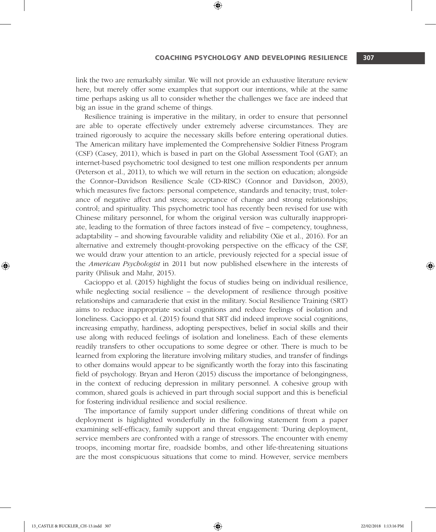link the two are remarkably similar. We will not provide an exhaustive literature review here, but merely offer some examples that support our intentions, while at the same time perhaps asking us all to consider whether the challenges we face are indeed that big an issue in the grand scheme of things.

⊕

Resilience training is imperative in the military, in order to ensure that personnel are able to operate effectively under extremely adverse circumstances. They are trained rigorously to acquire the necessary skills before entering operational duties. The American military have implemented the Comprehensive Soldier Fitness Program (CSF) (Casey, 2011), which is based in part on the Global Assessment Tool (GAT); an internet-based psychometric tool designed to test one million respondents per annum (Peterson et al., 2011), to which we will return in the section on education; alongside the Connor–Davidson Resilience Scale (CD-RISC) (Connor and Davidson, 2003), which measures five factors: personal competence, standards and tenacity; trust, tolerance of negative affect and stress; acceptance of change and strong relationships; control; and spirituality. This psychometric tool has recently been revised for use with Chinese military personnel, for whom the original version was culturally inappropriate, leading to the formation of three factors instead of five – competency, toughness, adaptability – and showing favourable validity and reliability (Xie et al., 2016). For an alternative and extremely thought-provoking perspective on the efficacy of the CSF, we would draw your attention to an article, previously rejected for a special issue of the *American Psychologist* in 2011 but now published elsewhere in the interests of parity (Pilisuk and Mahr, 2015).

Cacioppo et al. (2015) highlight the focus of studies being on individual resilience, while neglecting social resilience – the development of resilience through positive relationships and camaraderie that exist in the military. Social Resilience Training (SRT) aims to reduce inappropriate social cognitions and reduce feelings of isolation and loneliness. Cacioppo et al. (2015) found that SRT did indeed improve social cognitions, increasing empathy, hardiness, adopting perspectives, belief in social skills and their use along with reduced feelings of isolation and loneliness. Each of these elements readily transfers to other occupations to some degree or other. There is much to be learned from exploring the literature involving military studies, and transfer of findings to other domains would appear to be significantly worth the foray into this fascinating field of psychology. Bryan and Heron (2015) discuss the importance of belongingness, in the context of reducing depression in military personnel. A cohesive group with common, shared goals is achieved in part through social support and this is beneficial for fostering individual resilience and social resilience.

The importance of family support under differing conditions of threat while on deployment is highlighted wonderfully in the following statement from a paper examining self-efficacy, family support and threat engagement: 'During deployment, service members are confronted with a range of stressors. The encounter with enemy troops, incoming mortar fire, roadside bombs, and other life-threatening situations are the most conspicuous situations that come to mind. However, service members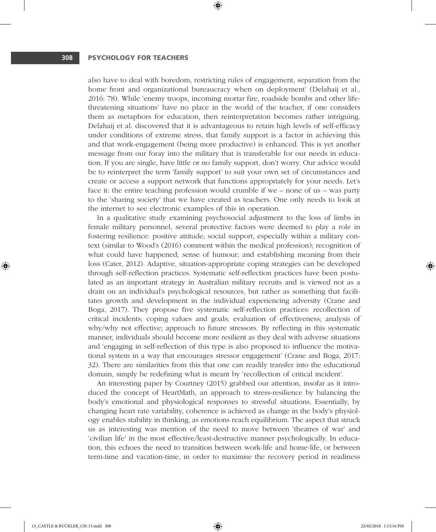also have to deal with boredom, restricting rules of engagement, separation from the home front and organizational bureaucracy when on deployment' (Delahaij et al., 2016: 78). While 'enemy troops, incoming mortar fire, roadside bombs and other lifethreatening situations' have no place in the world of the teacher, if one considers them as metaphors for education, then reinterpretation becomes rather intriguing. Delahaij et al. discovered that it is advantageous to retain high levels of self-efficacy under conditions of extreme stress, that family support is a factor in achieving this and that work-engagement (being more productive) is enhanced. This is yet another message from our foray into the military that is transferable for our needs in education. If you are single, have little or no family support, don't worry. Our advice would be to reinterpret the term 'family support' to suit your own set of circumstances and create or access a support network that functions appropriately for your needs. Let's face it: the entire teaching profession would crumble if we – none of us – was party to the 'sharing society' that we have created as teachers. One only needs to look at the internet to see electronic examples of this in operation.

⊕

In a qualitative study examining psychosocial adjustment to the loss of limbs in female military personnel, several protective factors were deemed to play a role in fostering resilience: positive attitude; social support, especially within a military context (similar to Wood's (2016) comment within the medical profession); recognition of what could have happened; sense of humour; and establishing meaning from their loss (Cater, 2012). Adaptive, situation-appropriate coping strategies can be developed through self-reflection practices. Systematic self-reflection practices have been postulated as an important strategy in Australian military recruits and is viewed not as a drain on an individual's psychological resources, but rather as something that facilitates growth and development in the individual experiencing adversity (Crane and Boga, 2017). They propose five systematic self-reflection practices: recollection of critical incidents; coping values and goals; evaluation of effectiveness; analysis of why/why not effective; approach to future stressors. By reflecting in this systematic manner, individuals should become more resilient as they deal with adverse situations and 'engaging in self-reflection of this type is also proposed to influence the motivational system in a way that encourages stressor engagement' (Crane and Boga, 2017: 32). There are similarities from this that one can readily transfer into the educational domain, simply be redefining what is meant by 'recollection of critical incident'.

An interesting paper by Courtney (2015) grabbed our attention, insofar as it introduced the concept of HeartMath, an approach to stress-resilience by balancing the body's emotional and physiological responses to stressful situations. Essentially, by changing heart rate variability, coherence is achieved as change in the body's physiology enables stability in thinking, as emotions reach equilibrium. The aspect that struck us as interesting was mention of the need to move between 'theatres of war' and 'civilian life' in the most effective/least-destructive manner psychologically. In education, this echoes the need to transition between work-life and home-life, or between term-time and vacation-time, in order to maximise the recovery period in readiness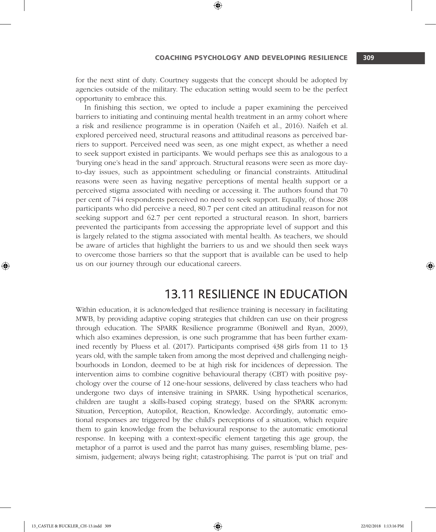for the next stint of duty. Courtney suggests that the concept should be adopted by agencies outside of the military. The education setting would seem to be the perfect opportunity to embrace this.

⊕

In finishing this section, we opted to include a paper examining the perceived barriers to initiating and continuing mental health treatment in an army cohort where a risk and resilience programme is in operation (Naifeh et al., 2016). Naifeh et al. explored perceived need, structural reasons and attitudinal reasons as perceived barriers to support. Perceived need was seen, as one might expect, as whether a need to seek support existed in participants. We would perhaps see this as analogous to a 'burying one's head in the sand' approach. Structural reasons were seen as more dayto-day issues, such as appointment scheduling or financial constraints. Attitudinal reasons were seen as having negative perceptions of mental health support or a perceived stigma associated with needing or accessing it. The authors found that 70 per cent of 744 respondents perceived no need to seek support. Equally, of those 208 participants who did perceive a need, 80.7 per cent cited an attitudinal reason for not seeking support and 62.7 per cent reported a structural reason. In short, barriers prevented the participants from accessing the appropriate level of support and this is largely related to the stigma associated with mental health. As teachers, we should be aware of articles that highlight the barriers to us and we should then seek ways to overcome those barriers so that the support that is available can be used to help us on our journey through our educational careers.

# 13.11 RESILIENCE IN EDUCATION

Within education, it is acknowledged that resilience training is necessary in facilitating MWB, by providing adaptive coping strategies that children can use on their progress through education. The SPARK Resilience programme (Boniwell and Ryan, 2009), which also examines depression, is one such programme that has been further examined recently by Pluess et al. (2017). Participants comprised 438 girls from 11 to 13 years old, with the sample taken from among the most deprived and challenging neighbourhoods in London, deemed to be at high risk for incidences of depression. The intervention aims to combine cognitive behavioural therapy (CBT) with positive psychology over the course of 12 one-hour sessions, delivered by class teachers who had undergone two days of intensive training in SPARK. Using hypothetical scenarios, children are taught a skills-based coping strategy, based on the SPARK acronym: Situation, Perception, Autopilot, Reaction, Knowledge. Accordingly, automatic emotional responses are triggered by the child's perceptions of a situation, which require them to gain knowledge from the behavioural response to the automatic emotional response. In keeping with a context-specific element targeting this age group, the metaphor of a parrot is used and the parrot has many guises, resembling blame, pessimism, judgement; always being right; catastrophising. The parrot is 'put on trial' and

♠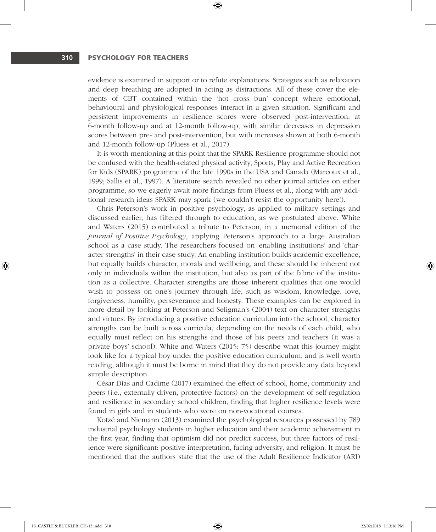evidence is examined in support or to refute explanations. Strategies such as relaxation and deep breathing are adopted in acting as distractions. All of these cover the elements of CBT contained within the 'hot cross bun' concept where emotional, behavioural and physiological responses interact in a given situation. Significant and persistent improvements in resilience scores were observed post-intervention, at 6-month follow-up and at 12-month follow-up, with similar decreases in depression scores between pre- and post-intervention, but with increases shown at both 6-month and 12-month follow-up (Pluess et al., 2017).

⊕

It is worth mentioning at this point that the SPARK Resilience programme should not be confused with the health-related physical activity, Sports, Play and Active Recreation for Kids (SPARK) programme of the late 1990s in the USA and Canada (Marcoux et al., 1999; Sallis et al., 1997). A literature search revealed no other journal articles on either programme, so we eagerly await more findings from Pluess et al., along with any additional research ideas SPARK may spark (we couldn't resist the opportunity here!).

Chris Peterson's work in positive psychology, as applied to military settings and discussed earlier, has filtered through to education, as we postulated above. White and Waters (2015) contributed a tribute to Peterson, in a memorial edition of the *Journal of Positive Psychology*, applying Peterson's approach to a large Australian school as a case study. The researchers focused on 'enabling institutions' and 'character strengths' in their case study. An enabling institution builds academic excellence, but equally builds character, morals and wellbeing, and these should be inherent not only in individuals within the institution, but also as part of the fabric of the institution as a collective. Character strengths are those inherent qualities that one would wish to possess on one's journey through life, such as wisdom, knowledge, love, forgiveness, humility, perseverance and honesty. These examples can be explored in more detail by looking at Peterson and Seligman's (2004) text on character strengths and virtues. By introducing a positive education curriculum into the school, character strengths can be built across curricula, depending on the needs of each child, who equally must reflect on his strengths and those of his peers and teachers (it was a private boys' school). White and Waters (2015: 75) describe what this journey might look like for a typical boy under the positive education curriculum, and is well worth reading, although it must be borne in mind that they do not provide any data beyond simple description.

César Dias and Cadime (2017) examined the effect of school, home, community and peers (i.e., externally-driven, protective factors) on the development of self-regulation and resilience in secondary school children, finding that higher resilience levels were found in girls and in students who were on non-vocational courses.

Kotzé and Niemann (2013) examined the psychological resources possessed by 789 industrial psychology students in higher education and their academic achievement in the first year, finding that optimism did not predict success, but three factors of resilience were significant: positive interpretation, facing adversity, and religion. It must be mentioned that the authors state that the use of the Adult Resilience Indicator (ARI)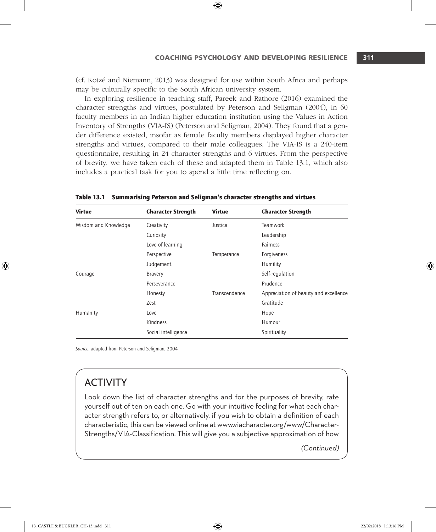(cf. Kotzé and Niemann, 2013) was designed for use within South Africa and perhaps may be culturally specific to the South African university system.

⊕

In exploring resilience in teaching staff, Pareek and Rathore (2016) examined the character strengths and virtues, postulated by Peterson and Seligman (2004), in 60 faculty members in an Indian higher education institution using the Values in Action Inventory of Strengths (VIA-IS) (Peterson and Seligman, 2004). They found that a gender difference existed, insofar as female faculty members displayed higher character strengths and virtues, compared to their male colleagues. The VIA-IS is a 240-item questionnaire, resulting in 24 character strengths and 6 virtues. From the perspective of brevity, we have taken each of these and adapted them in Table 13.1, which also includes a practical task for you to spend a little time reflecting on.

| <b>Virtue</b>        | <b>Character Strength</b> | <b>Virtue</b> | <b>Character Strength</b>             |
|----------------------|---------------------------|---------------|---------------------------------------|
| Wisdom and Knowledge | Creativity                | Justice       | Teamwork                              |
|                      | Curiosity                 |               | Leadership                            |
|                      | Love of learning          |               | Fairness                              |
|                      | Perspective               | Temperance    | Forgiveness                           |
|                      | Judgement                 |               | Humility                              |
| Courage              | <b>Bravery</b>            |               | Self-regulation                       |
|                      | Perseverance              |               | Prudence                              |
|                      | Honesty                   | Transcendence | Appreciation of beauty and excellence |
|                      | Zest                      |               | Gratitude                             |
| Humanity             | Love                      |               | Hope                                  |
|                      | Kindness                  |               | Humour                                |
|                      | Social intelligence       |               | Spirituality                          |

Table 13.1 Summarising Peterson and Seligman's character strengths and virtues

*Source*: adapted from Peterson and Seligman, 2004

# ACTIVITY

Look down the list of character strengths and for the purposes of brevity, rate yourself out of ten on each one. Go with your intuitive feeling for what each character strength refers to, or alternatively, if you wish to obtain a definition of each characteristic, this can be viewed online at www.viacharacter.org/www/Character-Strengths/VIA-Classification. This will give you a subjective approximation of how

*(Continued)*

♠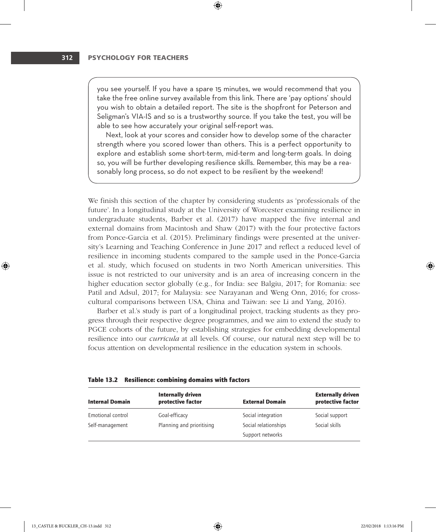you see yourself. If you have a spare 15 minutes, we would recommend that you take the free online survey available from this link. There are 'pay options' should you wish to obtain a detailed report. The site is the shopfront for Peterson and Seligman's VIA-IS and so is a trustworthy source. If you take the test, you will be able to see how accurately your original self-report was.

⊕

Next, look at your scores and consider how to develop some of the character strength where you scored lower than others. This is a perfect opportunity to explore and establish some short-term, mid-term and long-term goals. In doing so, you will be further developing resilience skills. Remember, this may be a reasonably long process, so do not expect to be resilient by the weekend!

We finish this section of the chapter by considering students as 'professionals of the future'. In a longitudinal study at the University of Worcester examining resilience in undergraduate students, Barber et al. (2017) have mapped the five internal and external domains from Macintosh and Shaw (2017) with the four protective factors from Ponce-Garcia et al. (2015). Preliminary findings were presented at the university's Learning and Teaching Conference in June 2017 and reflect a reduced level of resilience in incoming students compared to the sample used in the Ponce-Garcia et al. study, which focused on students in two North American universities. This issue is not restricted to our university and is an area of increasing concern in the higher education sector globally (e.g., for India: see Balgiu, 2017; for Romania: see Patil and Adsul, 2017; for Malaysia: see Narayanan and Weng Onn, 2016; for crosscultural comparisons between USA, China and Taiwan: see Li and Yang, 2016).

Barber et al.'s study is part of a longitudinal project, tracking students as they progress through their respective degree programmes, and we aim to extend the study to PGCE cohorts of the future, by establishing strategies for embedding developmental resilience into our *curricula* at all levels. Of course, our natural next step will be to focus attention on developmental resilience in the education system in schools.

| <b>Internal Domain</b> | <b>Internally driven</b><br>protective factor | <b>External Domain</b> | <b>Externally driven</b><br>protective factor |
|------------------------|-----------------------------------------------|------------------------|-----------------------------------------------|
| Emotional control      | Goal-efficacy                                 | Social integration     | Social support                                |
| Self-management        | Planning and prioritising                     | Social relationships   | Social skills                                 |
|                        |                                               | Support networks       |                                               |

|  | Table 13.2 Resilience: combining domains with factors |  |  |  |  |
|--|-------------------------------------------------------|--|--|--|--|
|--|-------------------------------------------------------|--|--|--|--|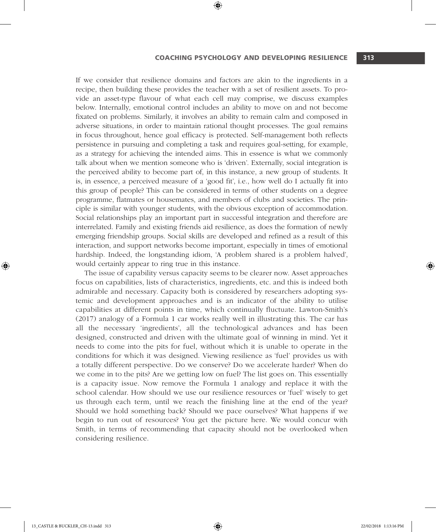#### COACHING PSYCHOLOGY and DEVELOPING RESILIENCE **313**

If we consider that resilience domains and factors are akin to the ingredients in a recipe, then building these provides the teacher with a set of resilient assets. To provide an asset-type flavour of what each cell may comprise, we discuss examples below. Internally, emotional control includes an ability to move on and not become fixated on problems. Similarly, it involves an ability to remain calm and composed in adverse situations, in order to maintain rational thought processes. The goal remains in focus throughout, hence goal efficacy is protected. Self-management both reflects persistence in pursuing and completing a task and requires goal-setting, for example, as a strategy for achieving the intended aims. This in essence is what we commonly talk about when we mention someone who is 'driven'. Externally, social integration is the perceived ability to become part of, in this instance, a new group of students. It is, in essence, a perceived measure of a 'good fit', i.e., how well do I actually fit into this group of people? This can be considered in terms of other students on a degree programme, flatmates or housemates, and members of clubs and societies. The principle is similar with younger students, with the obvious exception of accommodation. Social relationships play an important part in successful integration and therefore are interrelated. Family and existing friends aid resilience, as does the formation of newly emerging friendship groups. Social skills are developed and refined as a result of this interaction, and support networks become important, especially in times of emotional hardship. Indeed, the longstanding idiom, 'A problem shared is a problem halved', would certainly appear to ring true in this instance.

⊕

The issue of capability versus capacity seems to be clearer now. Asset approaches focus on capabilities, lists of characteristics, ingredients, etc. and this is indeed both admirable and necessary. Capacity both is considered by researchers adopting systemic and development approaches and is an indicator of the ability to utilise capabilities at different points in time, which continually fluctuate. Lawton-Smith's (2017) analogy of a Formula 1 car works really well in illustrating this. The car has all the necessary 'ingredients', all the technological advances and has been designed, constructed and driven with the ultimate goal of winning in mind. Yet it needs to come into the pits for fuel, without which it is unable to operate in the conditions for which it was designed. Viewing resilience as 'fuel' provides us with a totally different perspective. Do we conserve? Do we accelerate harder? When do we come in to the pits? Are we getting low on fuel? The list goes on. This essentially is a capacity issue. Now remove the Formula 1 analogy and replace it with the school calendar. How should we use our resilience resources or 'fuel' wisely to get us through each term, until we reach the finishing line at the end of the year? Should we hold something back? Should we pace ourselves? What happens if we begin to run out of resources? You get the picture here. We would concur with Smith, in terms of recommending that capacity should not be overlooked when considering resilience.

⊕